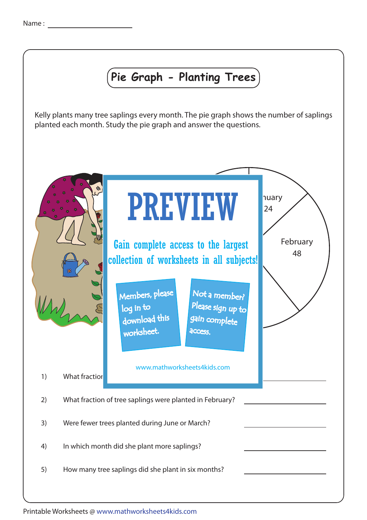